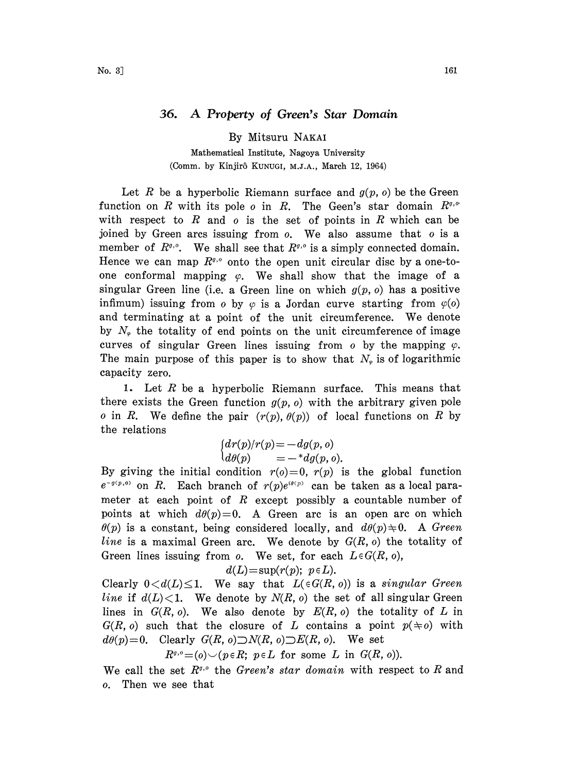## 36. A Property of Green's Star Domain

By Mitsuru NAKAI

Mathematical Institute, Nagoya University (Comm. by Kinjirô KUNUGI, M.J.A., March 12, 1964)

Let R be a hyperbolic Riemann surface and  $g(p, o)$  be the Green function on R with its pole o in R. The Geen's star domain  $R^{\sigma,\sigma}$ with respect to R and  $o$  is the set of points in R which can be joined by Green arcs issuing from  $o$ . We also assume that  $o$  is a member of  $R^{g,\circ}$ . We shall see that  $R^{g,\circ}$  is a simply connected domain. Hence we can map  $R^{q,\circ}$  onto the open unit circular disc by a one-toone conformal mapping  $\varphi$ . We shall show that the image of a singular Green line (i.e. a Green line on which  $g(p, o)$  has a positive infimum) issuing from o by  $\varphi$  is a Jordan curve starting from  $\varphi$ (o) and terminating at <sup>a</sup> point of the unit circumference. We denote by  $N_{\varphi}$  the totality of end points on the unit circumference of image curves of singular Green lines issuing from  $o$  by the mapping  $\varphi$ . The main purpose of this paper is to show that  $N_{\varphi}$  is of logarithmic capacity zero.

1. Let  $R$  be a hyperbolic Riemann surface. This means that there exists the Green function  $g(p, o)$  with the arbitrary given pole o in R. We define the pair  $(r(p), \theta(p))$  of local functions on R by the relations

$$
\begin{cases}\ndr(p)/r(p) = -dg(p, o) \\
d\theta(p) = -{}^*dg(p, o).\n\end{cases}
$$

By giving the initial condition  $r(s)=0$ ,  $r(p)$  is the global function  $e^{-g(p, o)}$  on R. Each branch of  $r(p)e^{i\theta(p)}$  can be taken as a local parameter at each point of  $R$  except possibly a countable number of points at which  $d\theta(p)=0$ . A Green arc is an open arc on which  $\theta(p)$  is a constant, being considered locally, and  $d\theta(p) \neq 0$ . A Green line is a maximal Green arc. We denote by  $G(R, o)$  the totality of Green lines issuing from  $o$ . We set, for each  $L \in G(R, o)$ ,

$$
d(L) = \sup(r(p); \ p \in L).
$$

Clearly  $0 < d(L) \leq 1$ . We say that  $L(\epsilon G(R, 0))$  is a singular Green line if  $d(L) < 1$ . We denote by  $N(R, o)$  the set of all singular Green lines in  $G(R, 0)$ . We also denote by  $E(R, 0)$  the totality of L in  $G(R, 0)$  such that the closure of L contains a point  $p(\pm o)$  with  $d\theta(p)=0$ . Clearly  $G(R, o) \supset N(R, o) \supset E(R, o)$ . We set

 $R^{q,0} = (o) \setminus (p \in R; p \in L \text{ for some } L \text{ in } G(R, o)).$ 

We call the set  $R^{q,q}$  the Green's star domain with respect to R and o. Then we see that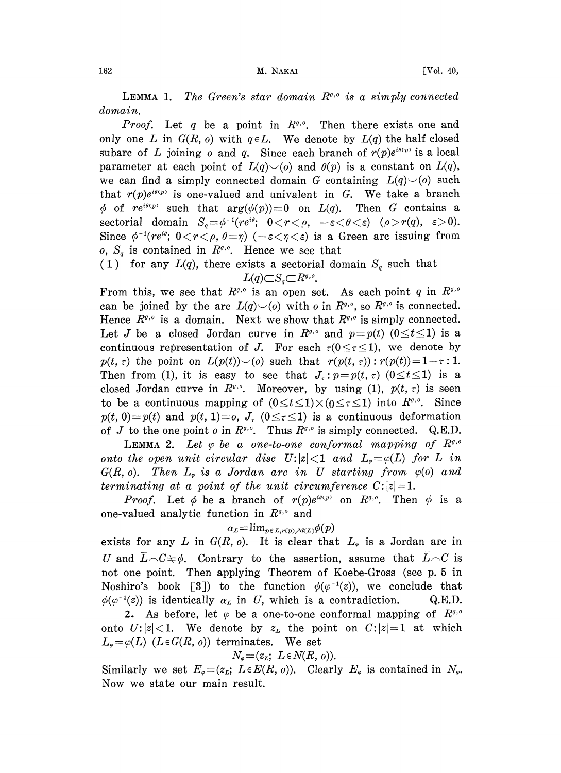LEMMA 1. The Green's star domain  $R^{q,0}$  is a simply connected domain.

Proof. Let q be a point in  $R^{q,0}$ . Then there exists one and only one L in  $G(R, o)$  with  $q \in L$ . We denote by  $L(q)$  the half closed only one L in  $G(R, o)$  with  $q \in L$ . We denote by  $L(q)$  the half closed subarc of L joining o and q. Since each branch of  $r(p)e^{i\theta(p)}$  is a local parameter at each point of  $L(q) \setminus (o)$  and  $\theta(p)$  is a constant on  $L(q)$ , we can find a simply connected domain G containing  $L(q)$  $\smile$ (o) such that  $r(p)e^{i\theta(p)}$  is one-valued and univalent in G. We take a branch  $\phi$  of re<sup>*i*(p)</sup> such that  $arg(\phi(p))=0$  on  $L(q)$ . Then G contains a sectorial domain  $S_q = \phi^{-1}(re^{i\theta}; 0 < r < \rho, -\varepsilon < \theta < \varepsilon)$  ( $\rho > r(q), \varepsilon > 0$ ). Since  $\phi^{-1}(re^{i\theta}; 0 < r < \rho, \theta = \eta)$  ( $-\varepsilon < \eta < \varepsilon$ ) is a Green arc issuing from o,  $S_a$  is contained in  $R^{q,q}$ . Hence we see that

(1) for any  $L(q)$ , there exists a sectorial domain  $S_q$  such that  $L(q)\subset S_q\subset R^{q,q}.$ 

From this, we see that  $R^{\sigma,\sigma}$  is an open set. As each point q in  $R^{\sigma,\sigma}$ can be joined by the arc  $L(q) \setminus (o)$  with o in  $R^{q,\circ}$ , so  $R^{q,\circ}$  is connected. Hence  $R^{g,\circ}$  is a domain. Next we show that  $R^{g,\circ}$  is simply connected. Let J be a closed Jordan curve in  $R^{\sigma,\sigma}$  and  $p=p(t)$  ( $0 \le t \le 1$ ) is a continuous representation of J. For each  $\tau(0 \leq \tau \leq 1)$ , we denote by  $p(t, \tau)$  the point on  $L(p(t))\setminus (0)$  such that  $r(p(t, \tau))$ :  $r(p(t))=1-\tau$ : 1. Then from (1), it is easy to see that  $J_z$ :  $p=p(t, \tau)(0 \le t \le 1)$  is a closed Jordan curve in  $R^{g,\circ}$ . Moreover, by using (1),  $p(t, \tau)$  is seen to be a continuous mapping of  $(0 \le t \le 1) \times (0 \le \tau \le 1)$  into  $R^{\mathfrak{g},\mathfrak{g}}$ . Since  $p(t, 0)=p(t)$  and  $p(t, 1)=0$ ,  $J<sub>z</sub>$  ( $0 \leq \tau \leq 1$ ) is a continuous deformation  $p(t, 0) = p(t)$  and  $p(t, 1) = 0$ ,  $\sigma_t$ ,  $(0 \le t \le 1)$  is a continuous deformation<br>of J to the one point *o* in  $R^{\sigma, o}$ . Thus  $R^{\sigma, o}$  is simply connected. Q.E.D.

LEMMA 2. Let  $\varphi$  be a one-to-one conformal mapping of  $R^{q,\sigma}$ onto the open unit circular disc  $U: |z| < 1$  and  $L_{\varphi} = \varphi(L)$  for L in  $G(R, o)$ . Then  $L_{\varphi}$  is a Jordan arc in U starting from  $\varphi(o)$  and terminating at a point of the unit circumference  $C:|z|=1$ .

*Proof.* Let  $\phi$  be a branch of  $r(p)e^{i\theta(p)}$  on  $R^{\theta,0}$ . Then  $\phi$  is a one-valued analytic function in  $R^{q,\theta}$  and

$$
\alpha_L\!=\!\lim_{p\in L,r(p)\nearrow d\in L)}\!\phi(p)
$$

exists for any L in  $G(R, o)$ . It is clear that  $L_{\varphi}$  is a Jordan arc in U and  $L\setminus C\neq\phi$ . Contrary to the assertion, assume that  $L\setminus C$  is not one point. Then applying Theorem of Koebe-Gross (see p. 5 in Noshiro's book [3]) to the function  $\phi(\varphi^{-1}(z))$ , we conclude that  $\phi(\varphi^{-1}(z))$  is identically  $\alpha_L$  in U, which is a contradiction. Q.E.D.

2. As before, let  $\varphi$  be a one-to-one conformal mapping of  $R^{\varphi,\circ}$ onto U: $|z|$ <1. We denote by  $z<sub>L</sub>$  the point on  $C:|z|=1$  at which  $L_{\varphi} = \varphi(L)$  ( $L \in G(R, o)$ ) terminates. We set

$$
N_{\varphi} = (z_L; L \in N(R, o)).
$$

Similarly we set  $E_{\varphi} = (z_{\mathcal{L}}; L \in E(R, o)).$  Clearly  $E_{\varphi}$  is contained in  $N_{\varphi}$ . Now we state our main result.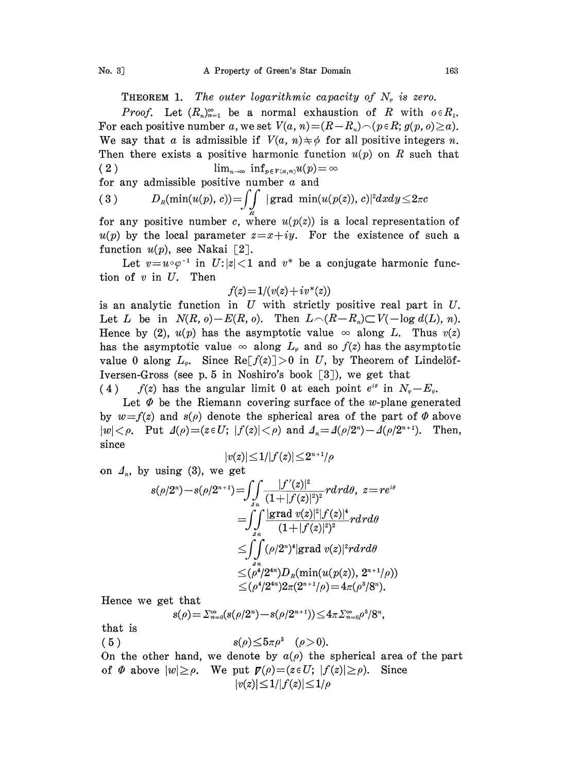**THEOREM 1.** The outer logarithmic capacity of  $N_e$  is zero.

*Proof.* Let  $(R_n)_{n=1}^{\infty}$  be a normal exhaustion of R with  $o \in R_1$ . For each positive number a, we set  $V(a, n) = (R-R_n) \cap (p \in R; g(p, o) \ge a)$ . We say that a is admissible if  $V(a, n) \neq \emptyset$  for all positive integers n. Then there exists a positive harmonic function  $u(p)$  on R such that ( 2 )  $\lim_{n\to\infty} \inf_{p\in V(a,n)} u(p) = \infty$ 

for any admissible positive number a and  
\n(3) 
$$
D_R(\min(u(p), c)) = \iint_{R} |\operatorname{grad} \min(u(p(z)), c)|^2 dx dy \leq 2\pi c
$$

for any positive number c, where  $u(p(z))$  is a local representation of  $u(p)$  by the local parameter  $z=x+iy$ . For the existence of such a function  $u(p)$ , see Nakai [2].

Let  $v=u\circ\varphi^{-1}$  in  $U:|z|<1$  and  $v^*$  be a conjugate harmonic func-<br>of v in U. Then tion of  $v$  in  $U$ . Then

$$
f(z) = 1/(v(z) + iv^*(z))
$$

is an analytic function in  $U$  with strictly positive real part in  $U$ . Let L be in  $N(R, 0)-E(R, 0)$ . Then  $L\cap (R-R_n)\subset V(-\log d(L), n)$ . Hence by (2),  $u(p)$  has the asymptotic value  $\infty$  along L. Thus  $v(z)$ has the asymptotic value  $\infty$  along  $L_{\varphi}$  and so  $f(z)$  has the asymptotic value 0 along  $L_{\varphi}$ . Since Re $[f(z)]>0$  in U, by Theorem of Lindelöf-Iversen-Gross (see p. 5 in Noshiro's book [3), we get that

(4) f(z) has the angular limit 0 at each point  $e^{i\theta}$  in  $N_{\varphi}-E_{\varphi}$ .

Let  $\Phi$  be the Riemann covering surface of the w-plane generated by  $w=f(z)$  and  $s(\rho)$  denote the spherical area of the part of  $\Phi$  above  $|w| < \rho$ . Put  $\Delta(\rho) = (z \in U; |f(z)| < \rho)$  and  $\Delta_n = \Delta(\rho/2^n) - \Delta(\rho/2^{n+1})$ . Then,<br>since  $|v(z)| \leq 1/|f(z)| \leq 2^{n+1}/\rho$ since

$$
|v(z)|\!\leq\! 1/|f(z)|\!\leq\! 2^{n+1}/\rho
$$

on  $\Lambda_n$ , by using (3), we get

ff ]f'(z)12 s(p/2n)--s(p/2n/ ) z\_rei (1 --If(z) ]) rdrdO, An \_\_ff Igrad v(z)llf(z)l . (l+lf(z)12) .rgrgo <\_ \_ (p/2)D(min(u(p(z)), 2//p)) (p/2')2(2 /p) 4(p/8).

Hence we get that

that  
\n
$$
s(\rho) = \sum_{n=0}^{\infty} (s(\rho/2^n) - s(\rho/2^{n+1})) \leq 4\pi \sum_{n=0}^{\infty} \rho^3/8^n,
$$

that is

( 5 )  $s(\rho) \le 5\pi \rho^3$  (  $\rho > 0$ ).

On the other hand, we denote by  $a(\rho)$  the spherical area of the part of  $\Phi$  above  $|w| \ge \rho$ . We put  $\mathbf{F}(\rho) = (z \in U; |f(z)| \ge \rho)$ . Since  $|v(z)| \leq 1/|f(z)| \leq 1/\rho$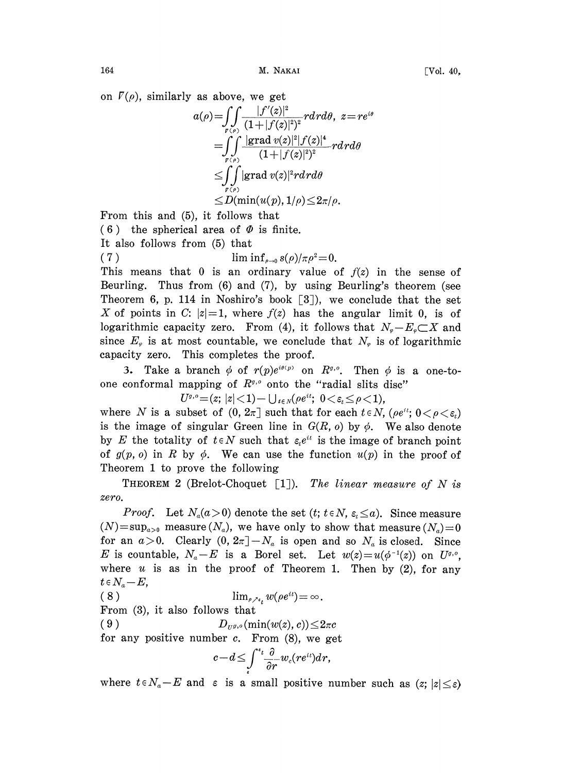on  $\Gamma(\rho)$ , similarly as above, we get

$$
\begin{aligned} a(\rho) =& \int\limits_{r(\rho)} \frac{|f'(z)|^2}{(1+|f(z)|^2)^2} r dr d\theta, \ z = r e^{i\theta} \\ =& \int\limits_{r(\rho)} \frac{|\text{grad } v(z)|^2 |f(z)|^4}{(1+|f(z)|^2)^2} r dr d\theta \\ \leq & \int\limits_{r(\rho)} |\text{grad } v(z)|^2 r dr d\theta \\ \leq & D(\min(u(p), 1/\rho) \leq & 2\pi/\rho. \end{aligned}
$$

From this and (5), it follows that

(6) the spherical area of  $\Phi$  is finite.

It also follows from (5) that

$$
\text{lim inf}_{\rho \to 0} s(\rho) / \pi \rho^2 = 0.
$$

This means that 0 is an ordinary value of  $f(z)$  in the sense of Beurling. Thus from (6) and (7), by using Beurling's theorem (see Theorem 6, p. 114 in Noshiro's book  $\lceil 3 \rceil$ ), we conclude that the set X of points in C:  $|z|=1$ , where  $f(z)$  has the angular limit 0, is of logarithmic capacity zero. From (4), it follows that  $N_{\varphi}-E_{\varphi}\subset X$  and since  $E_{\varphi}$  is at most countable, we conclude that  $N_{\varphi}$  is of logarithmic capacity zero. This completes the proof.

3. Take a branch  $\phi$  of  $r(p)e^{i\theta(p)}$  on  $R^{\theta, \theta}$ . Then  $\phi$  is a one-toone conformal mapping of  $R^{\sigma,\circ}$  onto the "radial slits disc"<br> $U^{\sigma,\circ} = (z; |z| < 1) - \bigcup_{i \in N} (\rho e^{it}; 0 < \varepsilon_i \leq \rho < 1),$ 

where N is a subset of  $(0, 2\pi]$  such that for each  $t \in N$ ,  $(\rho e^{it}) \in (0 \lt \varepsilon)$ is the image of singular Green line in  $G(R, o)$  by  $\phi$ . We also denote by E the totality of  $t \in N$  such that  $\varepsilon_{t}e^{it}$  is the image of branch point of  $g(p, o)$  in R by  $\phi$ . We can use the function  $u(p)$  in the proof of Theorem 1 to prove the following

THEOREM 2 (Brelot-Choquet  $[1]$ ). The linear measure of N is zero.

*Proof.* Let  $N_a(a>0)$  denote the set  $(t; t \in N, \varepsilon \leq a)$ . Since measure  $(N)=\sup_{a>0}$  measure  $(N_a)$ , we have only to show that measure  $(N_a)=0$ for an  $a>0$ . Clearly  $(0, 2\pi]-N_a$  is open and so  $N_a$  is closed. Since E is countable,  $N_a-E$  is a Borel set. Let  $w(z)=u(\phi^{-1}(z))$  on  $U^{q,\circ}$ , where  $u$  is as in the proof of Theorem 1. Then by (2), for any  $t \in N_a - E$ ,

8) 
$$
\lim_{\rho \nearrow \epsilon_t} w(\rho e^{it}) = \infty.
$$

From (3), it also follows that

 $\left($ 

From (3), it also follows that<br>  $D_{U^g,e}(\min(w(z), c)) \leq 2\pi c$ 

for any positive number  $c$ . From  $(8)$ , we get

$$
c-d\!\le\!\int\limits_{\varepsilon}^{\varepsilon_t}\!\frac{\partial}{\partial r}w_c(re^{it})dr,
$$

where  $t \in N_a-E$  and  $\varepsilon$  is a small positive number such as  $(z; |z| \leq \varepsilon)$